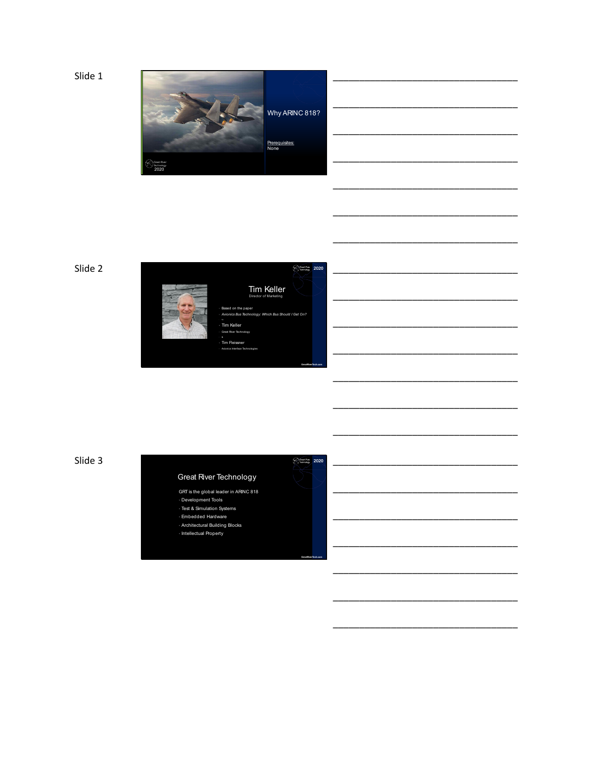Slide 1





Tim Keller Director of Marketing • *Avionics Bus Technology: Which Bus Should I Get On?*

**GreatRiverTech.com**

**GreatRiverTech.com**

\_\_\_\_\_\_\_\_\_\_\_\_\_\_\_\_\_\_\_\_\_\_\_\_\_\_\_\_\_\_\_\_\_\_\_

\_\_\_\_\_\_\_\_\_\_\_\_\_\_\_\_\_\_\_\_\_\_\_\_\_\_\_\_\_\_\_\_\_\_\_

\_\_\_\_\_\_\_\_\_\_\_\_\_\_\_\_\_\_\_\_\_\_\_\_\_\_\_\_\_\_\_\_\_\_\_

\_\_\_\_\_\_\_\_\_\_\_\_\_\_\_\_\_\_\_\_\_\_\_\_\_\_\_\_\_\_\_\_\_\_\_

\_\_\_\_\_\_\_\_\_\_\_\_\_\_\_\_\_\_\_\_\_\_\_\_\_\_\_\_\_\_\_\_\_\_\_

\_\_\_\_\_\_\_\_\_\_\_\_\_\_\_\_\_\_\_\_\_\_\_\_\_\_\_\_\_\_\_\_\_\_\_

\_\_\_\_\_\_\_\_\_\_\_\_\_\_\_\_\_\_\_\_\_\_\_\_\_\_\_\_\_\_\_\_\_\_\_

\_\_\_\_\_\_\_\_\_\_\_\_\_\_\_\_\_\_\_\_\_\_\_\_\_\_\_\_\_\_\_\_\_\_\_

\_\_\_\_\_\_\_\_\_\_\_\_\_\_\_\_\_\_\_\_\_\_\_\_\_\_\_\_\_\_\_\_\_\_\_

\_\_\_\_\_\_\_\_\_\_\_\_\_\_\_\_\_\_\_\_\_\_\_\_\_\_\_\_\_\_\_\_\_\_\_

\_\_\_\_\_\_\_\_\_\_\_\_\_\_\_\_\_\_\_\_\_\_\_\_\_\_\_\_\_\_\_\_\_\_\_

\_\_\_\_\_\_\_\_\_\_\_\_\_\_\_\_\_\_\_\_\_\_\_\_\_\_\_\_\_\_\_\_\_\_\_

\_\_\_\_\_\_\_\_\_\_\_\_\_\_\_\_\_\_\_\_\_\_\_\_\_\_\_\_\_\_\_\_\_\_\_

\_\_\_\_\_\_\_\_\_\_\_\_\_\_\_\_\_\_\_\_\_\_\_\_\_\_\_\_\_\_\_\_\_\_\_

\_\_\_\_\_\_\_\_\_\_\_\_\_\_\_\_\_\_\_\_\_\_\_\_\_\_\_\_\_\_\_\_\_\_\_

\_\_\_\_\_\_\_\_\_\_\_\_\_\_\_\_\_\_\_\_\_\_\_\_\_\_\_\_\_\_\_\_\_\_\_

\_\_\_\_\_\_\_\_\_\_\_\_\_\_\_\_\_\_\_\_\_\_\_\_\_\_\_\_\_\_\_\_\_\_\_

\_\_\_\_\_\_\_\_\_\_\_\_\_\_\_\_\_\_\_\_\_\_\_\_\_\_\_\_\_\_\_\_\_\_\_

\_\_\_\_\_\_\_\_\_\_\_\_\_\_\_\_\_\_\_\_\_\_\_\_\_\_\_\_\_\_\_\_\_\_\_

\_\_\_\_\_\_\_\_\_\_\_\_\_\_\_\_\_\_\_\_\_\_\_\_\_\_\_\_\_\_\_\_\_\_\_

\_\_\_\_\_\_\_\_\_\_\_\_\_\_\_\_\_\_\_\_\_\_\_\_\_\_\_\_\_\_\_\_\_\_\_

Slide 3  $\frac{1}{2020}$  2020

## Great River Technology

GRT is the global leader in ARINC 818 • Development Tools

• Test & Simulation Systems

• Embedded Hardware • Architectural Building Blocks

• Intellectual Property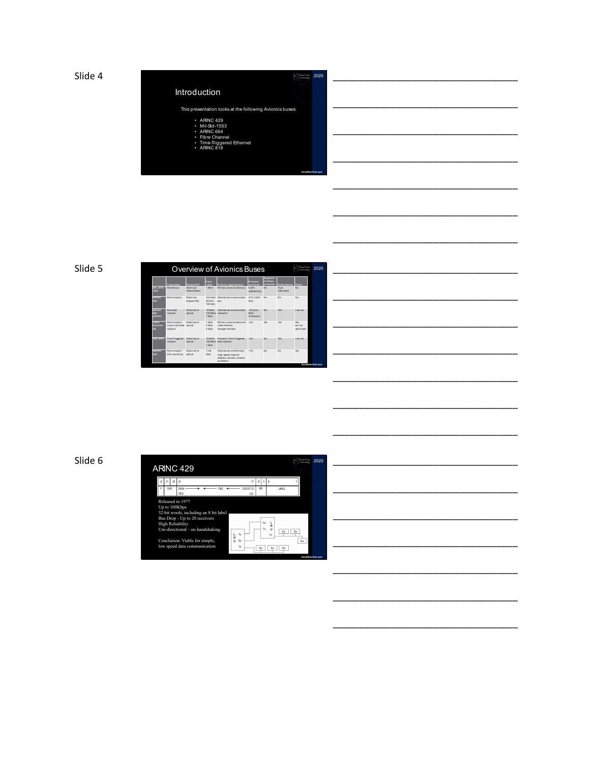



\_\_\_\_\_\_\_\_\_\_\_\_\_\_\_\_\_\_\_\_\_\_\_\_\_\_\_\_\_\_\_\_\_\_\_

\_\_\_\_\_\_\_\_\_\_\_\_\_\_\_\_\_\_\_\_\_\_\_\_\_\_\_\_\_\_\_\_\_\_\_

\_\_\_\_\_\_\_\_\_\_\_\_\_\_\_\_\_\_\_\_\_\_\_\_\_\_\_\_\_\_\_\_\_\_\_

\_\_\_\_\_\_\_\_\_\_\_\_\_\_\_\_\_\_\_\_\_\_\_\_\_\_\_\_\_\_\_\_\_\_\_

\_\_\_\_\_\_\_\_\_\_\_\_\_\_\_\_\_\_\_\_\_\_\_\_\_\_\_\_\_\_\_\_\_\_\_

\_\_\_\_\_\_\_\_\_\_\_\_\_\_\_\_\_\_\_\_\_\_\_\_\_\_\_\_\_\_\_\_\_\_\_

\_\_\_\_\_\_\_\_\_\_\_\_\_\_\_\_\_\_\_\_\_\_\_\_\_\_\_\_\_\_\_\_\_\_\_

\_\_\_\_\_\_\_\_\_\_\_\_\_\_\_\_\_\_\_\_\_\_\_\_\_\_\_\_\_\_\_\_\_\_\_

\_\_\_\_\_\_\_\_\_\_\_\_\_\_\_\_\_\_\_\_\_\_\_\_\_\_\_\_\_\_\_\_\_\_\_

\_\_\_\_\_\_\_\_\_\_\_\_\_\_\_\_\_\_\_\_\_\_\_\_\_\_\_\_\_\_\_\_\_\_\_

\_\_\_\_\_\_\_\_\_\_\_\_\_\_\_\_\_\_\_\_\_\_\_\_\_\_\_\_\_\_\_\_\_\_\_

\_\_\_\_\_\_\_\_\_\_\_\_\_\_\_\_\_\_\_\_\_\_\_\_\_\_\_\_\_\_\_\_\_\_\_

### Slide 5

|                               | Consult Phone<br><b>WANTED</b>                    | 2020                            |                                          |                                                                                             |                                                |                                          |                   |                                     |                    |
|-------------------------------|---------------------------------------------------|---------------------------------|------------------------------------------|---------------------------------------------------------------------------------------------|------------------------------------------------|------------------------------------------|-------------------|-------------------------------------|--------------------|
|                               | Topologies                                        | <b>Physical/IF</b>              | <b>Data</b><br>rates                     | <b>Primary anniications</b>                                                                 | <b>Protocol</b><br>overhead                    | <b>Supports</b><br>multiple<br>protocols | <b>Redundancy</b> | Video                               |                    |
| MIL-STD-<br>1553              | Shared bus                                        | Flartring<br>(Manchester)       | 1 Milyle                                 | Military avionics data bus                                                                  | 6.25%<br>(40/640 bits)                         | No                                       | Dual<br>redundent | N <sub>0</sub>                      |                    |
| <b>ARINC</b><br>424           | Point-to-point                                    | Flertring<br>(bipolar RZ)       | $12.5$ kh/s<br><b>25 kh/s</b><br>100 kWs | Commercial avionics data<br>hus                                                             | 41% (13/32)<br>bits)                           | No                                       | No                | N <sub>0</sub>                      |                    |
| <b>ARINC</b><br>684<br>(AFDX) | <b>Statistical</b><br>met wye in                  | <b>Flantringl</b> or<br>cotical | 10 MNs<br>100 M No.<br>1.0946            | Commercial exionics data<br>notworks.                                                       | $-4%$ plus<br><b>BAG</b><br><b>Limitations</b> | No                                       | <b>Yes</b>        | Low res                             |                    |
| Elbre<br>Channel<br>AF.       | Point-to-point.<br>ring or switched<br>met wye in | <b>Flantringl</b> or<br>cotical | 1 Cityle<br>4 Cityle<br>2 Gb/s           | Military avionics data and<br>video network:<br>storage interface                           | $-2%$                                          | <b>Voc</b>                               | <b>Yes</b>        | <b>Yes</b><br>hert net<br>optimized |                    |
| SAE 6802                      | Time-Triggered<br>met wye ic                      | <b>Flantringl</b> or<br>cotical | 10 Mb/s<br>100 M No.<br>1.0946           | Pregision Time-Triggered<br>data network.                                                   | $-4%$                                          | No                                       | <b>Yes</b>        | Lowres                              |                    |
| <b>ARINC</b><br>818           | Point-to-point<br>with switching                  | <b>Flextrical or</b><br>cotical | $1 - 28$<br>Gb/s                         | Commercial and Military<br>High-speed video for<br>displays, sensors, mission<br>processors | $-256$                                         | No                                       | No                | <b>Yes</b>                          | GreatRiverTech.com |

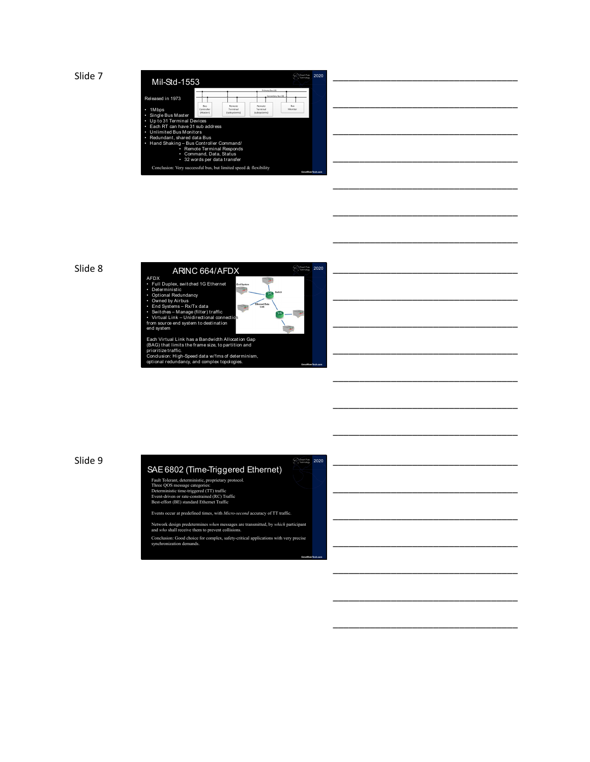



| 020 |  |  |  |
|-----|--|--|--|
|     |  |  |  |
|     |  |  |  |
|     |  |  |  |
|     |  |  |  |

\_\_\_\_\_\_\_\_\_\_\_\_\_\_\_\_\_\_\_\_\_\_\_\_\_\_\_\_\_\_\_\_\_\_\_

\_\_\_\_\_\_\_\_\_\_\_\_\_\_\_\_\_\_\_\_\_\_\_\_\_\_\_\_\_\_\_\_\_\_\_

\_\_\_\_\_\_\_\_\_\_\_\_\_\_\_\_\_\_\_\_\_\_\_\_\_\_\_\_\_\_\_\_\_\_\_

\_\_\_\_\_\_\_\_\_\_\_\_\_\_\_\_\_\_\_\_\_\_\_\_\_\_\_\_\_\_\_\_\_\_\_

\_\_\_\_\_\_\_\_\_\_\_\_\_\_\_\_\_\_\_\_\_\_\_\_\_\_\_\_\_\_\_\_\_\_\_

\_\_\_\_\_\_\_\_\_\_\_\_\_\_\_\_\_\_\_\_\_\_\_\_\_\_\_\_\_\_\_\_\_\_\_

\_\_\_\_\_\_\_\_\_\_\_\_\_\_\_\_\_\_\_\_\_\_\_\_\_\_\_\_\_\_\_\_\_\_\_

\_\_\_\_\_\_\_\_\_\_\_\_\_\_\_\_\_\_\_\_\_\_\_\_\_\_\_\_\_\_\_\_\_\_\_

\_\_\_\_\_\_\_\_\_\_\_\_\_\_\_\_\_\_\_\_\_\_\_\_\_\_\_\_\_\_\_\_\_\_\_

\_\_\_\_\_\_\_\_\_\_\_\_\_\_\_\_\_\_\_\_\_\_\_\_\_\_\_\_\_\_\_\_\_\_\_

\_\_\_\_\_\_\_\_\_\_\_\_\_\_\_\_\_\_\_\_\_\_\_\_\_\_\_\_\_\_\_\_\_\_\_

\_\_\_\_\_\_\_\_\_\_\_\_\_\_\_\_\_\_\_\_\_\_\_\_\_\_\_\_\_\_\_\_\_\_\_

\_\_\_\_\_\_\_\_\_\_\_\_\_\_\_\_\_\_\_\_\_\_\_\_\_\_\_\_\_\_\_\_\_\_\_

\_\_\_\_\_\_\_\_\_\_\_\_\_\_\_\_\_\_\_\_\_\_\_\_\_\_\_\_\_\_\_\_\_\_\_

\_\_\_\_\_\_\_\_\_\_\_\_\_\_\_\_\_\_\_\_\_\_\_\_\_\_\_\_\_\_\_\_\_\_\_

\_\_\_\_\_\_\_\_\_\_\_\_\_\_\_\_\_\_\_\_\_\_\_\_\_\_\_\_\_\_\_\_\_\_\_

\_\_\_\_\_\_\_\_\_\_\_\_\_\_\_\_\_\_\_\_\_\_\_\_\_\_\_\_\_\_\_\_\_\_\_





**GreatRiverTech.com**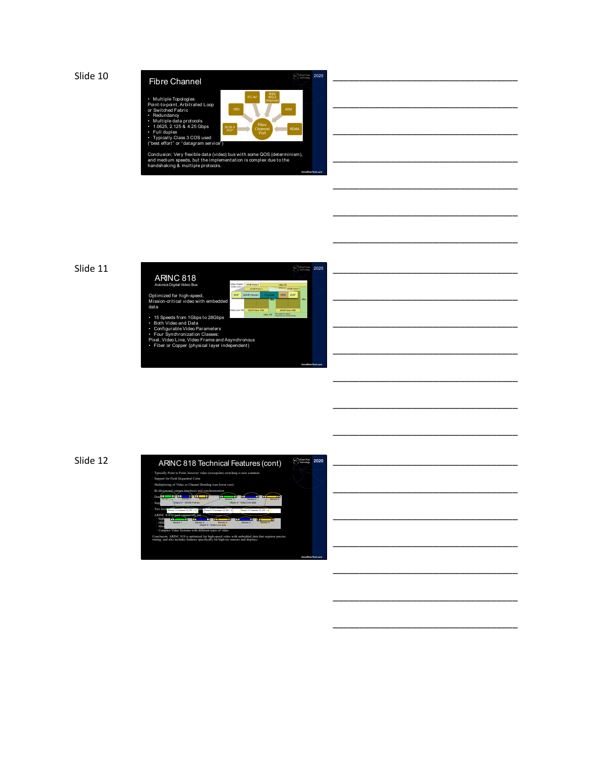



\_\_\_\_\_\_\_\_\_\_\_\_\_\_\_\_\_\_\_\_\_\_\_\_\_\_\_\_\_\_\_\_\_\_\_

\_\_\_\_\_\_\_\_\_\_\_\_\_\_\_\_\_\_\_\_\_\_\_\_\_\_\_\_\_\_\_\_\_\_\_

\_\_\_\_\_\_\_\_\_\_\_\_\_\_\_\_\_\_\_\_\_\_\_\_\_\_\_\_\_\_\_\_\_\_\_

\_\_\_\_\_\_\_\_\_\_\_\_\_\_\_\_\_\_\_\_\_\_\_\_\_\_\_\_\_\_\_\_\_\_\_

\_\_\_\_\_\_\_\_\_\_\_\_\_\_\_\_\_\_\_\_\_\_\_\_\_\_\_\_\_\_\_\_\_\_\_

\_\_\_\_\_\_\_\_\_\_\_\_\_\_\_\_\_\_\_\_\_\_\_\_\_\_\_\_\_\_\_\_\_\_\_

\_\_\_\_\_\_\_\_\_\_\_\_\_\_\_\_\_\_\_\_\_\_\_\_\_\_\_\_\_\_\_\_\_\_\_

\_\_\_\_\_\_\_\_\_\_\_\_\_\_\_\_\_\_\_\_\_\_\_\_\_\_\_\_\_\_\_\_\_\_\_

\_\_\_\_\_\_\_\_\_\_\_\_\_\_\_\_\_\_\_\_\_\_\_\_\_\_\_\_\_\_\_\_\_\_\_

\_\_\_\_\_\_\_\_\_\_\_\_\_\_\_\_\_\_\_\_\_\_\_\_\_\_\_\_\_\_\_\_\_\_\_

\_\_\_\_\_\_\_\_\_\_\_\_\_\_\_\_\_\_\_\_\_\_\_\_\_\_\_\_\_\_\_\_\_\_\_

\_\_\_\_\_\_\_\_\_\_\_\_\_\_\_\_\_\_\_\_\_\_\_\_\_\_\_\_\_\_\_\_\_\_\_

\_\_\_\_\_\_\_\_\_\_\_\_\_\_\_\_\_\_\_\_\_\_\_\_\_\_\_\_\_\_\_\_\_\_\_